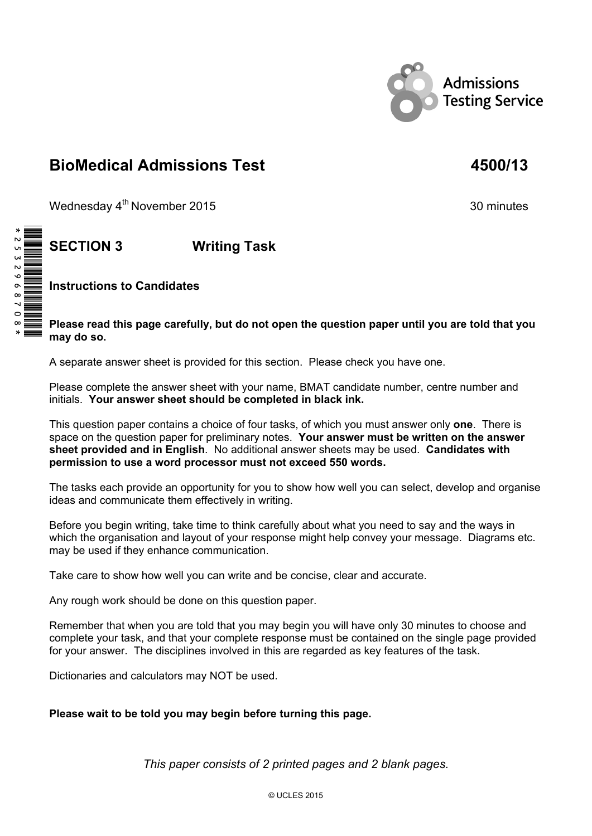

# **BioMedical Admissions Test 4500/13**

Wednesday 4<sup>th</sup> November 2015 30 minutes

## **SECTION 3 Writing Task**

**Instructions to Candidates** 

**Please read this page carefully, but do not open the question paper until you are told that you may do so.** 

A separate answer sheet is provided for this section. Please check you have one.

Please complete the answer sheet with your name, BMAT candidate number, centre number and initials. **Your answer sheet should be completed in black ink.**

This question paper contains a choice of four tasks, of which you must answer only **one**. There is space on the question paper for preliminary notes. **Your answer must be written on the answer sheet provided and in English**. No additional answer sheets may be used. **Candidates with permission to use a word processor must not exceed 550 words.** 

The tasks each provide an opportunity for you to show how well you can select, develop and organise ideas and communicate them effectively in writing.

Before you begin writing, take time to think carefully about what you need to say and the ways in which the organisation and layout of your response might help convey your message. Diagrams etc. may be used if they enhance communication.

Take care to show how well you can write and be concise, clear and accurate.

Any rough work should be done on this question paper.

Remember that when you are told that you may begin you will have only 30 minutes to choose and complete your task, and that your complete response must be contained on the single page provided for your answer. The disciplines involved in this are regarded as key features of the task.

Dictionaries and calculators may NOT be used.

#### **Please wait to be told you may begin before turning this page.**

*This paper consists of 2 printed pages and 2 blank pages.*

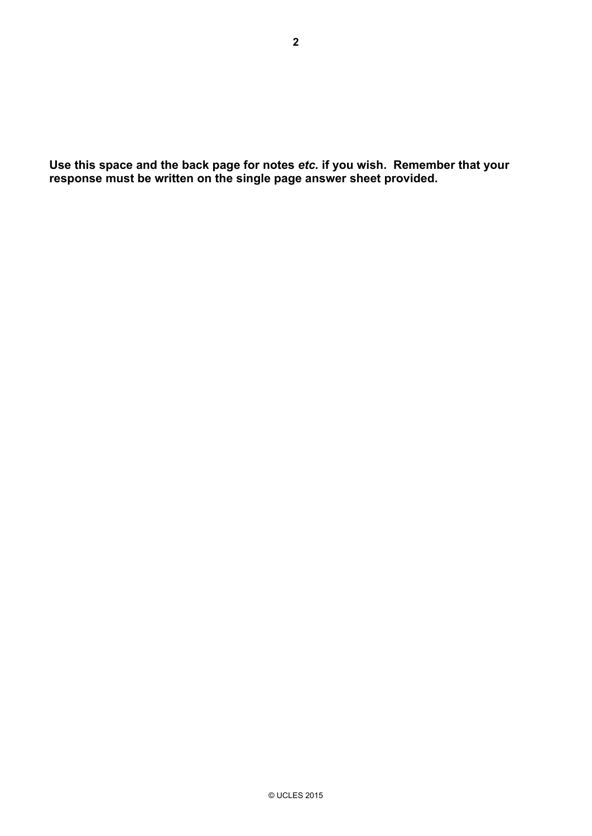**Use this space and the back page for notes** *etc.* **if you wish. Remember that your response must be written on the single page answer sheet provided.**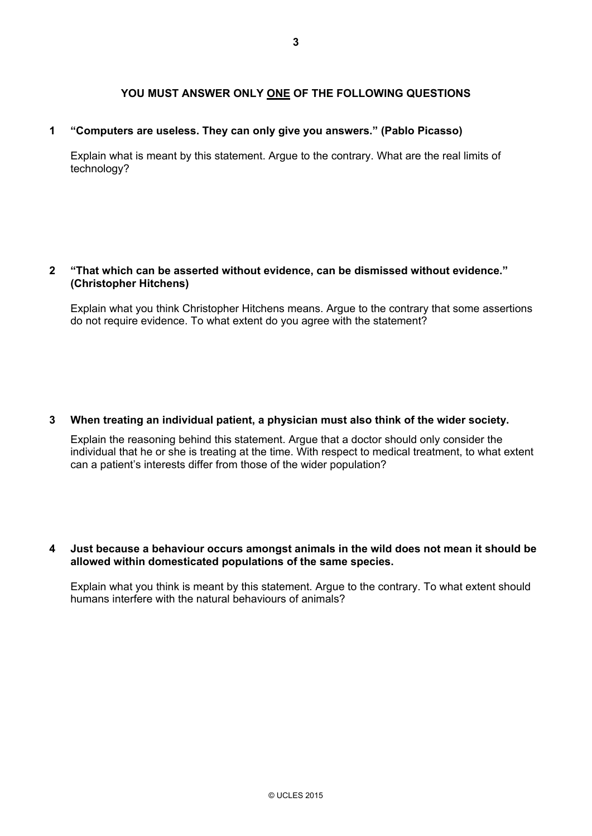### **YOU MUST ANSWER ONLY ONE OF THE FOLLOWING QUESTIONS**

#### **1 "Computers are useless. They can only give you answers." (Pablo Picasso)**

 Explain what is meant by this statement. Argue to the contrary. What are the real limits of technology?

#### **2 "That which can be asserted without evidence, can be dismissed without evidence." (Christopher Hitchens)**

 Explain what you think Christopher Hitchens means. Argue to the contrary that some assertions do not require evidence. To what extent do you agree with the statement?

#### **3 When treating an individual patient, a physician must also think of the wider society.**

 Explain the reasoning behind this statement. Argue that a doctor should only consider the individual that he or she is treating at the time. With respect to medical treatment, to what extent can a patient's interests differ from those of the wider population?

#### **4 Just because a behaviour occurs amongst animals in the wild does not mean it should be allowed within domesticated populations of the same species.**

 Explain what you think is meant by this statement. Argue to the contrary. To what extent should humans interfere with the natural behaviours of animals?